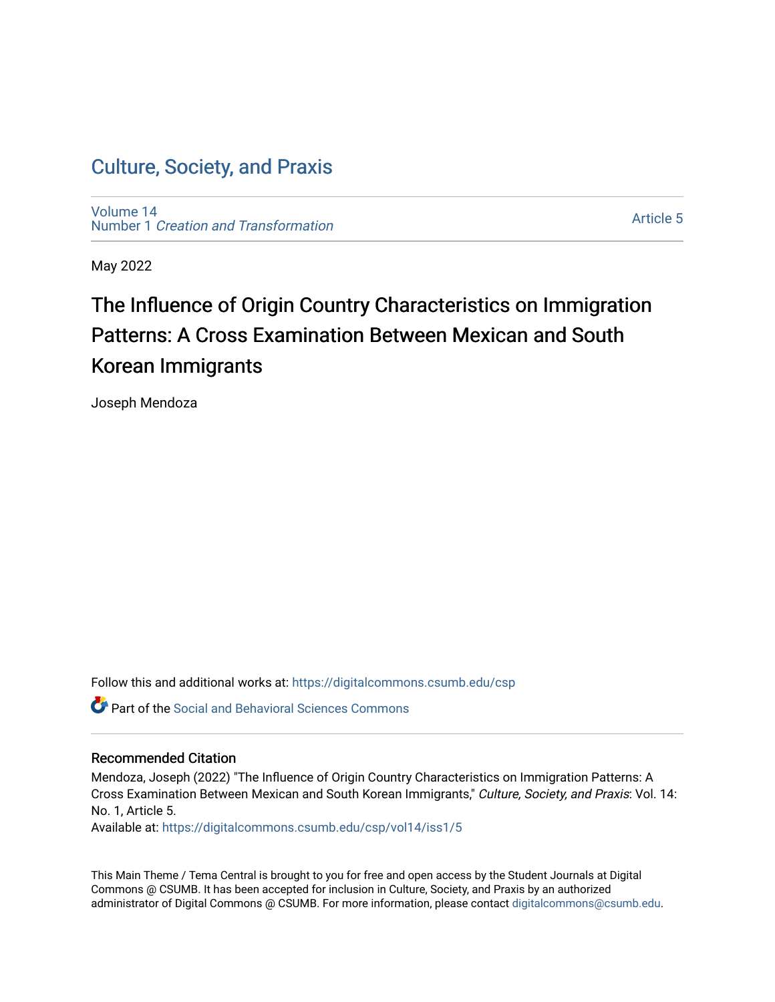[Volume 14](https://digitalcommons.csumb.edu/csp/vol14) Number 1 [Creation and Transformation](https://digitalcommons.csumb.edu/csp/vol14/iss1)

[Article 5](https://digitalcommons.csumb.edu/csp/vol14/iss1/5) 

May 2022

# The Influence of Origin Country Characteristics on Immigration Patterns: A Cross Examination Between Mexican and South Korean Immigrants

Joseph Mendoza

Follow this and additional works at: [https://digitalcommons.csumb.edu/csp](https://digitalcommons.csumb.edu/csp?utm_source=digitalcommons.csumb.edu%2Fcsp%2Fvol14%2Fiss1%2F5&utm_medium=PDF&utm_campaign=PDFCoverPages)

**Part of the Social and Behavioral Sciences Commons** 

#### Recommended Citation

Mendoza, Joseph (2022) "The Influence of Origin Country Characteristics on Immigration Patterns: A Cross Examination Between Mexican and South Korean Immigrants," Culture, Society, and Praxis: Vol. 14: No. 1, Article 5.

Available at: [https://digitalcommons.csumb.edu/csp/vol14/iss1/5](https://digitalcommons.csumb.edu/csp/vol14/iss1/5?utm_source=digitalcommons.csumb.edu%2Fcsp%2Fvol14%2Fiss1%2F5&utm_medium=PDF&utm_campaign=PDFCoverPages)

This Main Theme / Tema Central is brought to you for free and open access by the Student Journals at Digital Commons @ CSUMB. It has been accepted for inclusion in Culture, Society, and Praxis by an authorized administrator of Digital Commons @ CSUMB. For more information, please contact [digitalcommons@csumb.edu](mailto:digitalcommons@csumb.edu).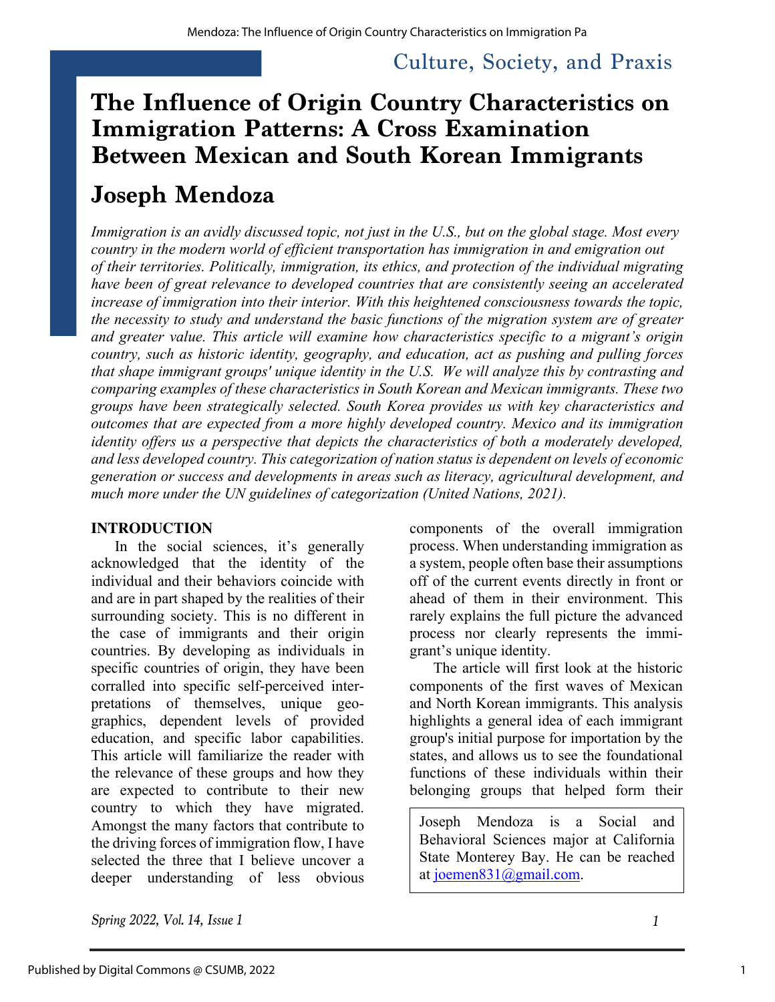# **The Influence of Origin Country Characteristics on Immigration Patterns: A Cross Examination Between Mexican and South Korean Immigrants**

## **Joseph Mendoza**

*Immigration is an avidly discussed topic, not just in the U.S., but on the global stage. Most every country in the modern world of efficient transportation has immigration in and emigration out of their territories. Politically, immigration, its ethics, and protection of the individual migrating have been of great relevance to developed countries that are consistently seeing an accelerated increase of immigration into their interior. With this heightened consciousness towards the topic, the necessity to study and understand the basic functions of the migration system are of greater and greater value. This article will examine how characteristics specific to a migrant's origin country, such as historic identity, geography, and education, act as pushing and pulling forces that shape immigrant groups' unique identity in the U.S. We will analyze this by contrasting and comparing examples of these characteristics in South Korean and Mexican immigrants. These two groups have been strategically selected. South Korea provides us with key characteristics and outcomes that are expected from a more highly developed country. Mexico and its immigration identity offers us a perspective that depicts the characteristics of both a moderately developed, and less developed country. This categorization of nation status is dependent on levels of economic generation or success and developments in areas such as literacy, agricultural development, and much more under the UN guidelines of categorization (United Nations, 2021).*

#### **INTRODUCTION**

In the social sciences, it's generally acknowledged that the identity of the individual and their behaviors coincide with and are in part shaped by the realities of their surrounding society. This is no different in the case of immigrants and their origin countries. By developing as individuals in specific countries of origin, they have been corralled into specific self-perceived interpretations of themselves, unique geographics, dependent levels of provided education, and specific labor capabilities. This article will familiarize the reader with the relevance of these groups and how they are expected to contribute to their new country to which they have migrated. Amongst the many factors that contribute to the driving forces of immigration flow, I have selected the three that I believe uncover a deeper understanding of less obvious

components of the overall immigration process. When understanding immigration as a system, people often base their assumptions off of the current events directly in front or ahead of them in their environment. This rarely explains the full picture the advanced process nor clearly represents the immigrant's unique identity.

The article will first look at the historic components of the first waves of Mexican and North Korean immigrants. This analysis highlights a general idea of each immigrant group's initial purpose for importation by the states, and allows us to see the foundational functions of these individuals within their belonging groups that helped form their

Joseph Mendoza is a Social and Behavioral Sciences major at California State Monterey Bay. He can be reached at joemen831@gmail.com.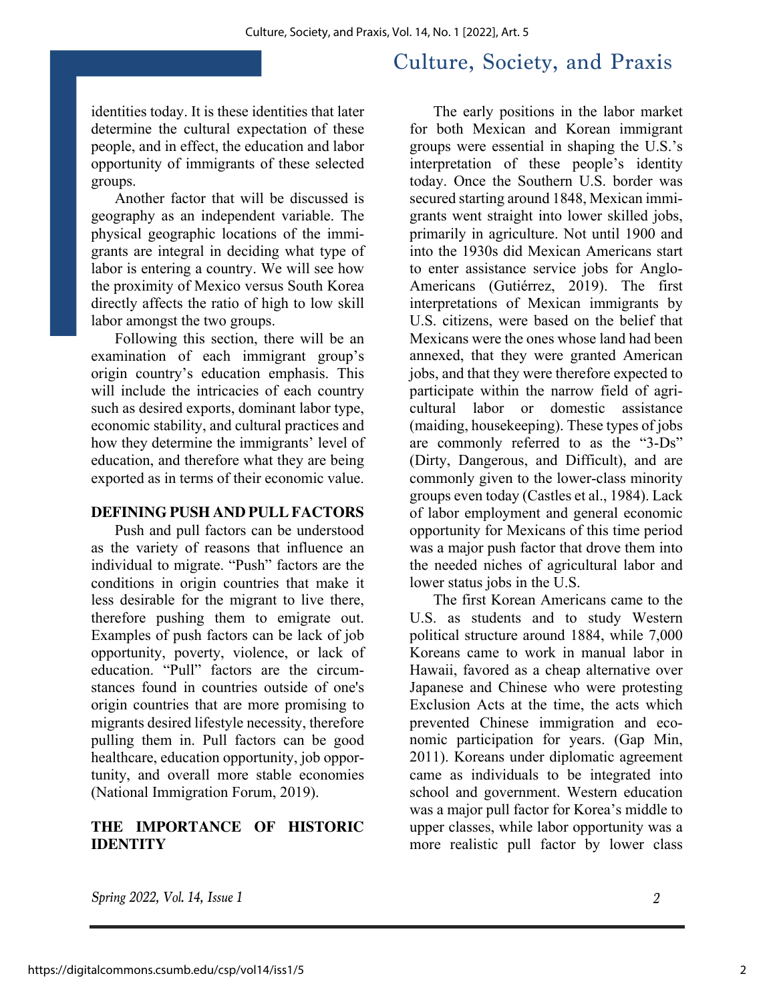identities today. It is these identities that later determine the cultural expectation of these people, and in effect, the education and labor opportunity of immigrants of these selected groups.

Another factor that will be discussed is geography as an independent variable. The physical geographic locations of the immigrants are integral in deciding what type of labor is entering a country. We will see how the proximity of Mexico versus South Korea directly affects the ratio of high to low skill labor amongst the two groups.

Following this section, there will be an examination of each immigrant group's origin country's education emphasis. This will include the intricacies of each country such as desired exports, dominant labor type, economic stability, and cultural practices and how they determine the immigrants' level of education, and therefore what they are being exported as in terms of their economic value.

#### **DEFINING PUSH AND PULL FACTORS**

Push and pull factors can be understood as the variety of reasons that influence an individual to migrate. "Push" factors are the conditions in origin countries that make it less desirable for the migrant to live there, therefore pushing them to emigrate out. Examples of push factors can be lack of job opportunity, poverty, violence, or lack of education. "Pull" factors are the circumstances found in countries outside of one's origin countries that are more promising to migrants desired lifestyle necessity, therefore pulling them in. Pull factors can be good healthcare, education opportunity, job opportunity, and overall more stable economies (National Immigration Forum, 2019).

### **THE IMPORTANCE OF HISTORIC IDENTITY**

The early positions in the labor market for both Mexican and Korean immigrant groups were essential in shaping the U.S.'s interpretation of these people's identity today. Once the Southern U.S. border was secured starting around 1848, Mexican immigrants went straight into lower skilled jobs, primarily in agriculture. Not until 1900 and into the 1930s did Mexican Americans start to enter assistance service jobs for Anglo-Americans (Gutiérrez, 2019). The first interpretations of Mexican immigrants by U.S. citizens, were based on the belief that Mexicans were the ones whose land had been annexed, that they were granted American jobs, and that they were therefore expected to participate within the narrow field of agricultural labor or domestic assistance (maiding, housekeeping). These types of jobs are commonly referred to as the "3-Ds" (Dirty, Dangerous, and Difficult), and are commonly given to the lower-class minority groups even today (Castles et al., 1984). Lack of labor employment and general economic opportunity for Mexicans of this time period was a major push factor that drove them into the needed niches of agricultural labor and lower status jobs in the U.S.

The first Korean Americans came to the U.S. as students and to study Western political structure around 1884, while 7,000 Koreans came to work in manual labor in Hawaii, favored as a cheap alternative over Japanese and Chinese who were protesting Exclusion Acts at the time, the acts which prevented Chinese immigration and economic participation for years. (Gap Min, 2011). Koreans under diplomatic agreement came as individuals to be integrated into school and government. Western education was a major pull factor for Korea's middle to upper classes, while labor opportunity was a more realistic pull factor by lower class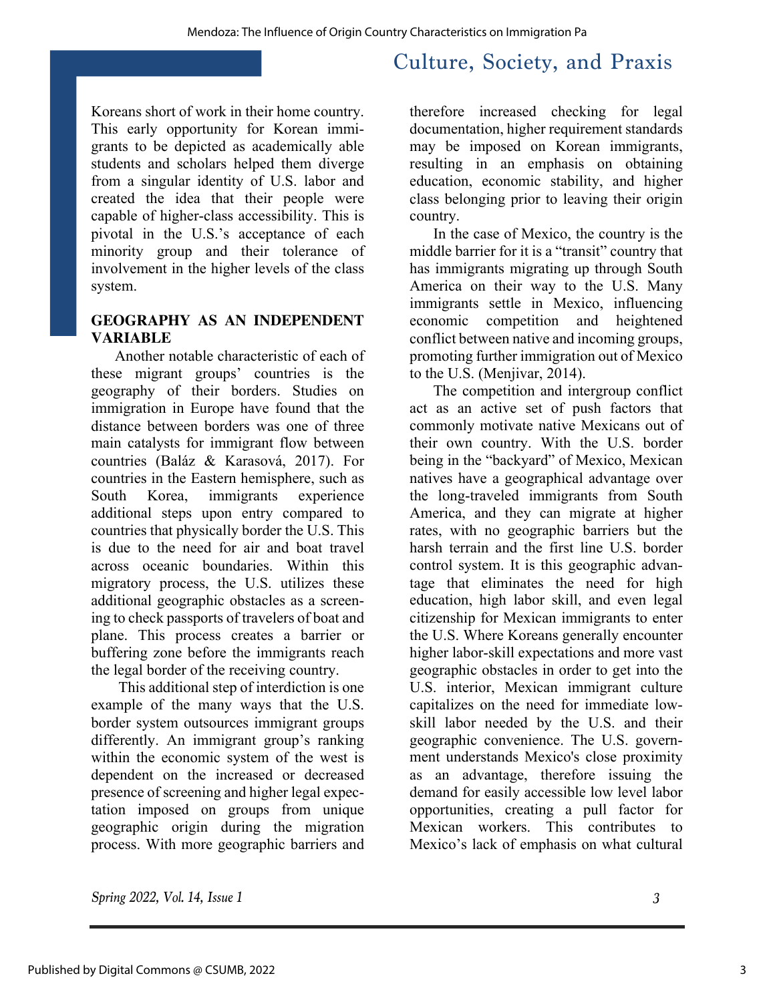Koreans short of work in their home country. This early opportunity for Korean immigrants to be depicted as academically able students and scholars helped them diverge from a singular identity of U.S. labor and created the idea that their people were capable of higher-class accessibility. This is pivotal in the U.S.'s acceptance of each minority group and their tolerance of involvement in the higher levels of the class system.

#### **GEOGRAPHY AS AN INDEPENDENT VARIABLE**

Another notable characteristic of each of these migrant groups' countries is the geography of their borders. Studies on immigration in Europe have found that the distance between borders was one of three main catalysts for immigrant flow between countries (Baláz & Karasová, 2017). For countries in the Eastern hemisphere, such as South Korea, immigrants experience additional steps upon entry compared to countries that physically border the U.S. This is due to the need for air and boat travel across oceanic boundaries. Within this migratory process, the U.S. utilizes these additional geographic obstacles as a screening to check passports of travelers of boat and plane. This process creates a barrier or buffering zone before the immigrants reach the legal border of the receiving country.

This additional step of interdiction is one example of the many ways that the U.S. border system outsources immigrant groups differently. An immigrant group's ranking within the economic system of the west is dependent on the increased or decreased presence of screening and higher legal expectation imposed on groups from unique geographic origin during the migration process. With more geographic barriers and

therefore increased checking for legal documentation, higher requirement standards may be imposed on Korean immigrants, resulting in an emphasis on obtaining education, economic stability, and higher class belonging prior to leaving their origin country.

In the case of Mexico, the country is the middle barrier for it is a "transit" country that has immigrants migrating up through South America on their way to the U.S. Many immigrants settle in Mexico, influencing economic competition and heightened conflict between native and incoming groups, promoting further immigration out of Mexico to the U.S. (Menjivar, 2014).

The competition and intergroup conflict act as an active set of push factors that commonly motivate native Mexicans out of their own country. With the U.S. border being in the "backyard" of Mexico, Mexican natives have a geographical advantage over the long-traveled immigrants from South America, and they can migrate at higher rates, with no geographic barriers but the harsh terrain and the first line U.S. border control system. It is this geographic advantage that eliminates the need for high education, high labor skill, and even legal citizenship for Mexican immigrants to enter the U.S. Where Koreans generally encounter higher labor-skill expectations and more vast geographic obstacles in order to get into the U.S. interior, Mexican immigrant culture capitalizes on the need for immediate lowskill labor needed by the U.S. and their geographic convenience. The U.S. government understands Mexico's close proximity as an advantage, therefore issuing the demand for easily accessible low level labor opportunities, creating a pull factor for Mexican workers. This contributes to Mexico's lack of emphasis on what cultural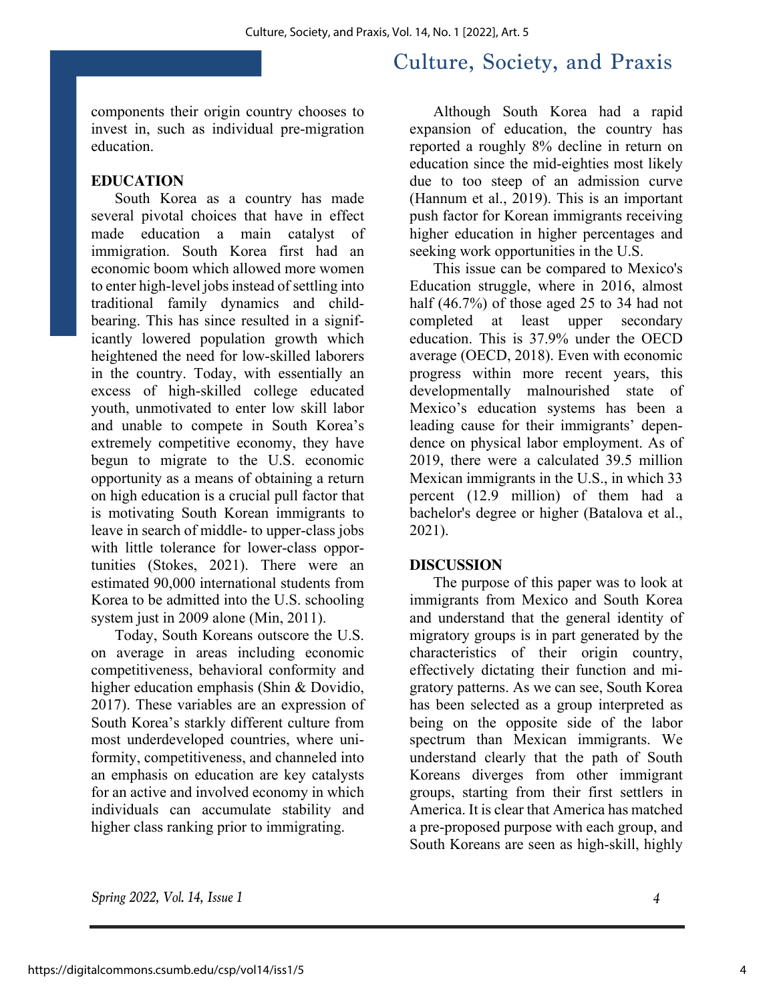components their origin country chooses to invest in, such as individual pre-migration education.

### **EDUCATION**

South Korea as a country has made several pivotal choices that have in effect made education a main catalyst of immigration. South Korea first had an economic boom which allowed more women to enter high-level jobs instead of settling into traditional family dynamics and childbearing. This has since resulted in a significantly lowered population growth which heightened the need for low-skilled laborers in the country. Today, with essentially an excess of high-skilled college educated youth, unmotivated to enter low skill labor and unable to compete in South Korea's extremely competitive economy, they have begun to migrate to the U.S. economic opportunity as a means of obtaining a return on high education is a crucial pull factor that is motivating South Korean immigrants to leave in search of middle- to upper-class jobs with little tolerance for lower-class opportunities (Stokes, 2021). There were an estimated 90,000 international students from Korea to be admitted into the U.S. schooling system just in 2009 alone (Min, 2011).

Today, South Koreans outscore the U.S. on average in areas including economic competitiveness, behavioral conformity and higher education emphasis (Shin & Dovidio, 2017). These variables are an expression of South Korea's starkly different culture from most underdeveloped countries, where uniformity, competitiveness, and channeled into an emphasis on education are key catalysts for an active and involved economy in which individuals can accumulate stability and higher class ranking prior to immigrating.

Although South Korea had a rapid expansion of education, the country has reported a roughly 8% decline in return on education since the mid-eighties most likely due to too steep of an admission curve (Hannum et al., 2019). This is an important push factor for Korean immigrants receiving higher education in higher percentages and seeking work opportunities in the U.S.

This issue can be compared to Mexico's Education struggle, where in 2016, almost half (46.7%) of those aged 25 to 34 had not completed at least upper secondary education. This is 37.9% under the OECD average (OECD, 2018). Even with economic progress within more recent years, this developmentally malnourished state of Mexico's education systems has been a leading cause for their immigrants' dependence on physical labor employment. As of 2019, there were a calculated 39.5 million Mexican immigrants in the U.S., in which 33 percent (12.9 million) of them had a bachelor's degree or higher (Batalova et al., 2021).

#### **DISCUSSION**

The purpose of this paper was to look at immigrants from Mexico and South Korea and understand that the general identity of migratory groups is in part generated by the characteristics of their origin country, effectively dictating their function and migratory patterns. As we can see, South Korea has been selected as a group interpreted as being on the opposite side of the labor spectrum than Mexican immigrants. We understand clearly that the path of South Koreans diverges from other immigrant groups, starting from their first settlers in America. It is clear that America has matched a pre-proposed purpose with each group, and South Koreans are seen as high-skill, highly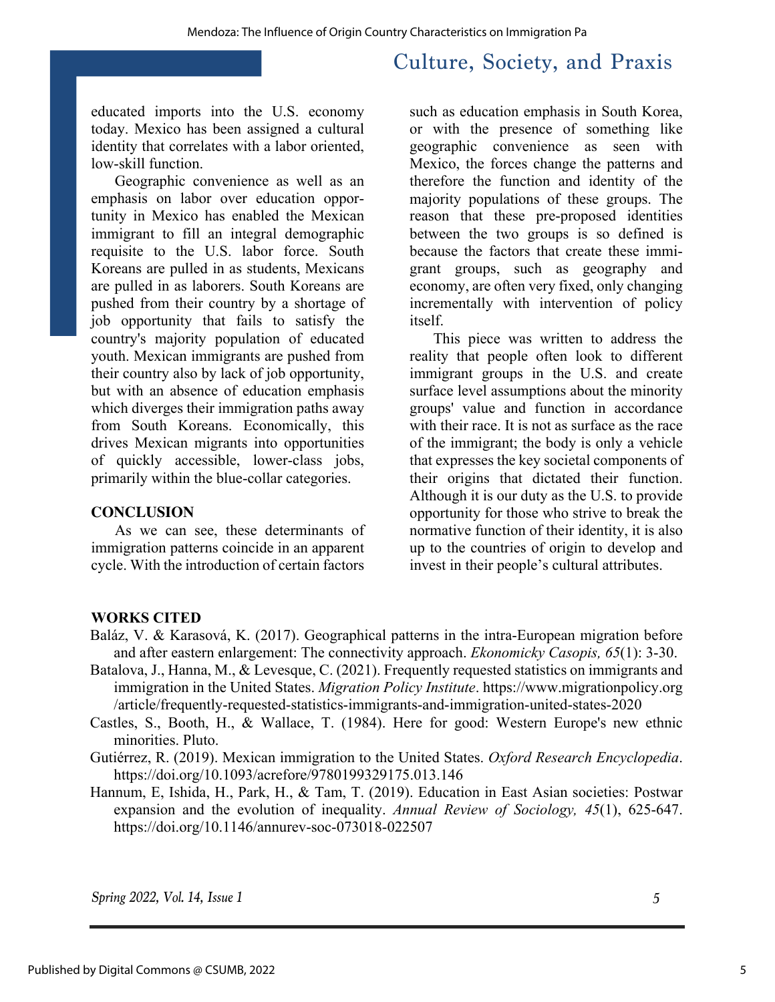educated imports into the U.S. economy today. Mexico has been assigned a cultural identity that correlates with a labor oriented, low-skill function.

Geographic convenience as well as an emphasis on labor over education opportunity in Mexico has enabled the Mexican immigrant to fill an integral demographic requisite to the U.S. labor force. South Koreans are pulled in as students, Mexicans are pulled in as laborers. South Koreans are pushed from their country by a shortage of job opportunity that fails to satisfy the country's majority population of educated youth. Mexican immigrants are pushed from their country also by lack of job opportunity, but with an absence of education emphasis which diverges their immigration paths away from South Koreans. Economically, this drives Mexican migrants into opportunities of quickly accessible, lower-class jobs, primarily within the blue-collar categories.

#### **CONCLUSION**

As we can see, these determinants of immigration patterns coincide in an apparent cycle. With the introduction of certain factors

such as education emphasis in South Korea, or with the presence of something like geographic convenience as seen with Mexico, the forces change the patterns and therefore the function and identity of the majority populations of these groups. The reason that these pre-proposed identities between the two groups is so defined is because the factors that create these immigrant groups, such as geography and economy, are often very fixed, only changing incrementally with intervention of policy itself.

This piece was written to address the reality that people often look to different immigrant groups in the U.S. and create surface level assumptions about the minority groups' value and function in accordance with their race. It is not as surface as the race of the immigrant; the body is only a vehicle that expresses the key societal components of their origins that dictated their function. Although it is our duty as the U.S. to provide opportunity for those who strive to break the normative function of their identity, it is also up to the countries of origin to develop and invest in their people's cultural attributes.

#### **WORKS CITED**

- Baláz, V. & Karasová, K. (2017). Geographical patterns in the intra-European migration before and after eastern enlargement: The connectivity approach. *Ekonomicky Casopis, 65*(1): 3-30.
- Batalova, J., Hanna, M., & Levesque, C. (2021). Frequently requested statistics on immigrants and immigration in the United States. *Migration Policy Institute*. https://www.migrationpolicy.org /article/frequently-requested-statistics-immigrants-and-immigration-united-states-2020
- Castles, S., Booth, H., & Wallace, T. (1984). Here for good: Western Europe's new ethnic minorities. Pluto.
- Gutiérrez, R. (2019). Mexican immigration to the United States. *Oxford Research Encyclopedia*. https://doi.org/10.1093/acrefore/9780199329175.013.146
- Hannum, E, Ishida, H., Park, H., & Tam, T. (2019). Education in East Asian societies: Postwar expansion and the evolution of inequality. *Annual Review of Sociology, 45*(1), 625-647. https://doi.org/10.1146/annurev-soc-073018-022507